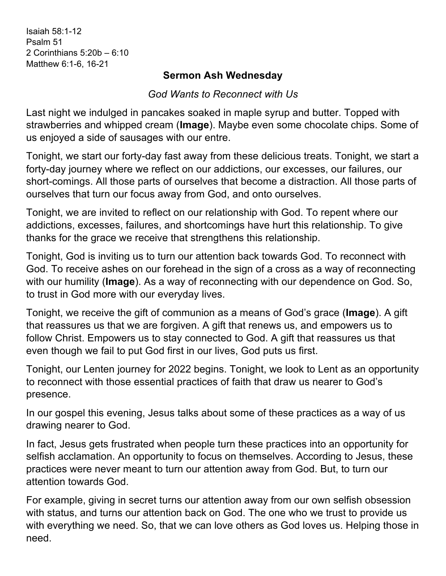Isaiah 58:1-12 Psalm 51 2 Corinthians 5:20b – 6:10 Matthew 6:1-6, 16-21

## **Sermon Ash Wednesday**

*God Wants to Reconnect with Us*

Last night we indulged in pancakes soaked in maple syrup and butter. Topped with strawberries and whipped cream (**Image**). Maybe even some chocolate chips. Some of us enjoyed a side of sausages with our entre.

Tonight, we start our forty-day fast away from these delicious treats. Tonight, we start a forty-day journey where we reflect on our addictions, our excesses, our failures, our short-comings. All those parts of ourselves that become a distraction. All those parts of ourselves that turn our focus away from God, and onto ourselves.

Tonight, we are invited to reflect on our relationship with God. To repent where our addictions, excesses, failures, and shortcomings have hurt this relationship. To give thanks for the grace we receive that strengthens this relationship.

Tonight, God is inviting us to turn our attention back towards God. To reconnect with God. To receive ashes on our forehead in the sign of a cross as a way of reconnecting with our humility (**Image**). As a way of reconnecting with our dependence on God. So, to trust in God more with our everyday lives.

Tonight, we receive the gift of communion as a means of God's grace (**Image**). A gift that reassures us that we are forgiven. A gift that renews us, and empowers us to follow Christ. Empowers us to stay connected to God. A gift that reassures us that even though we fail to put God first in our lives, God puts us first.

Tonight, our Lenten journey for 2022 begins. Tonight, we look to Lent as an opportunity to reconnect with those essential practices of faith that draw us nearer to God's presence.

In our gospel this evening, Jesus talks about some of these practices as a way of us drawing nearer to God.

In fact, Jesus gets frustrated when people turn these practices into an opportunity for selfish acclamation. An opportunity to focus on themselves. According to Jesus, these practices were never meant to turn our attention away from God. But, to turn our attention towards God.

For example, giving in secret turns our attention away from our own selfish obsession with status, and turns our attention back on God. The one who we trust to provide us with everything we need. So, that we can love others as God loves us. Helping those in need.